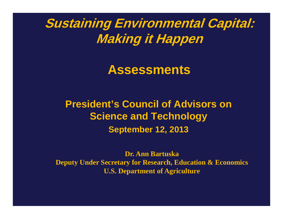**Sustaining Environmental Capital: Making it Happen**

**Assessments**

**President's Council of Advisors on Science and Technology September 12, 2013**

**Dr. Ann BartuskaDeputy Under Secretary for Research, Education & Economics U.S. Department of Agriculture**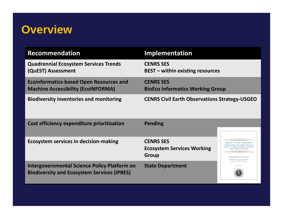## **Overview**

| <b>Recommendation</b>                          | <b>Implementation</b>                                |
|------------------------------------------------|------------------------------------------------------|
| <b>Quadrennial Ecosystem Services Trends</b>   | <b>CENRS SES</b>                                     |
| (QuEST) Assessment                             | <b>BEST</b> - within existing resources              |
| <b>Ecoinformatics-based Open Resources and</b> | <b>CENRS SES</b>                                     |
| <b>Machine Accessibility (EcoINFORMA)</b>      | <b>BioEco Informatics Working Group</b>              |
| <b>Biodiversity inventories and monitoring</b> | <b>CENRS Civil Earth Observations Strategy-USGEO</b> |

| Cost efficiency expenditure prioritization                                                         | <b>Pending</b>                                                        | نف                                                                                                                                                                            |
|----------------------------------------------------------------------------------------------------|-----------------------------------------------------------------------|-------------------------------------------------------------------------------------------------------------------------------------------------------------------------------|
| <b>Ecosystem services in decision-making</b>                                                       | <b>CENRS SES</b><br><b>Ecosystem Services Working</b><br><b>Group</b> | REPORT TO THE PRESIDENT<br>SUSTAINING ENVIRONMENTAL<br>CAPITAL: PROTECTING SOCIETY<br>AND THE ECONOMY<br>Executive Office of the President<br>President's Council of Advisors |
| Intergovernmental Science Policy Platform on<br><b>Biodiversity and Ecosystem Services (IPBES)</b> | <b>State Department</b>                                               | on Science and Technology<br>JULY 2011                                                                                                                                        |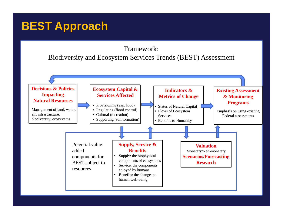# **BEST Approach**

#### Framework: Biodiversity and Ecosystem Services Trends (BEST) Assessment

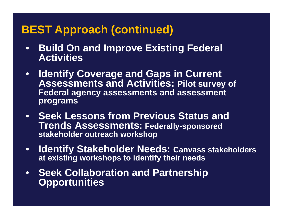### **BEST Approach (continued)**

- **Build On and Improve Existing Federal Activities**
- **Identify Coverage and Gaps in Current Assessments and Activities: Pilot survey of Federal agency assessments and assessment programs**
- **Seek Lessons from Previous Status and Trends Assessments: Federally-sponsored stakeholder outreach workshop**
- • **Identify Stakeholder Needs: Canvass stakeholders at existing workshops to identify their needs**
- **Seek Collaboration and Partnership Opportunities**